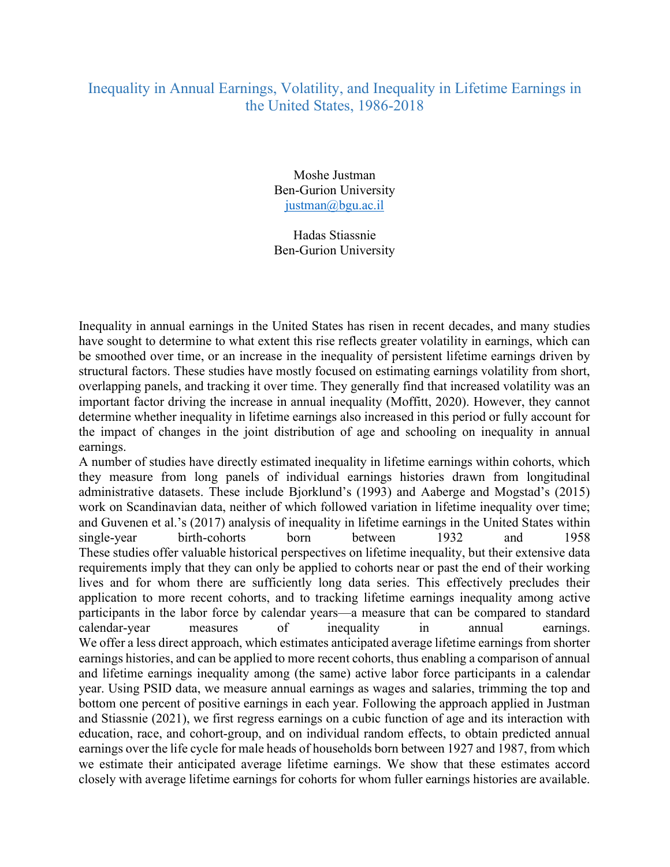## Inequality in Annual Earnings, Volatility, and Inequality in Lifetime Earnings in the United States, 1986-2018

Moshe Justman Ben-Gurion University justman@bgu.ac.il

Hadas Stiassnie Ben-Gurion University

Inequality in annual earnings in the United States has risen in recent decades, and many studies have sought to determine to what extent this rise reflects greater volatility in earnings, which can be smoothed over time, or an increase in the inequality of persistent lifetime earnings driven by structural factors. These studies have mostly focused on estimating earnings volatility from short, overlapping panels, and tracking it over time. They generally find that increased volatility was an important factor driving the increase in annual inequality (Moffitt, 2020). However, they cannot determine whether inequality in lifetime earnings also increased in this period or fully account for the impact of changes in the joint distribution of age and schooling on inequality in annual earnings.

A number of studies have directly estimated inequality in lifetime earnings within cohorts, which they measure from long panels of individual earnings histories drawn from longitudinal administrative datasets. These include Bjorklund's (1993) and Aaberge and Mogstad's (2015) work on Scandinavian data, neither of which followed variation in lifetime inequality over time; and Guvenen et al.'s (2017) analysis of inequality in lifetime earnings in the United States within single-year birth-cohorts born between 1932 and 1958 These studies offer valuable historical perspectives on lifetime inequality, but their extensive data requirements imply that they can only be applied to cohorts near or past the end of their working lives and for whom there are sufficiently long data series. This effectively precludes their application to more recent cohorts, and to tracking lifetime earnings inequality among active participants in the labor force by calendar years—a measure that can be compared to standard calendar-year measures of inequality in annual earnings. We offer a less direct approach, which estimates anticipated average lifetime earnings from shorter earnings histories, and can be applied to more recent cohorts, thus enabling a comparison of annual and lifetime earnings inequality among (the same) active labor force participants in a calendar year. Using PSID data, we measure annual earnings as wages and salaries, trimming the top and bottom one percent of positive earnings in each year. Following the approach applied in Justman and Stiassnie (2021), we first regress earnings on a cubic function of age and its interaction with education, race, and cohort-group, and on individual random effects, to obtain predicted annual earnings over the life cycle for male heads of households born between 1927 and 1987, from which we estimate their anticipated average lifetime earnings. We show that these estimates accord closely with average lifetime earnings for cohorts for whom fuller earnings histories are available.